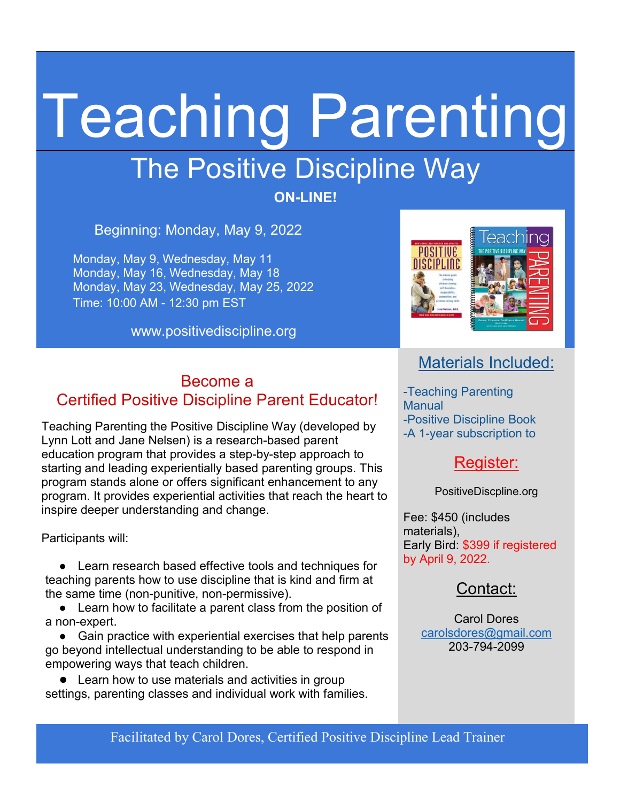# Teaching Parenting

## The Positive Discipline Way

**ON-LINE!**

Beginning: Monday, May 9, 2022

Monday, May 9, Wednesday, May 11 Monday, May 16, Wednesday, May 18 Monday, May 23, Wednesday, May 25, 2022 Time: 10:00 AM - 12:30 pm EST

www.positivediscipline.org



#### Become a Certified Positive Discipline Parent Educator!

Teaching Parenting the Positive Discipline Way (developed by Lynn Lott and Jane Nelsen) is a research-based parent education program that provides a step-by-step approach to starting and leading experientially based parenting groups. This program stands alone or offers significant enhancement to any program. It provides experiential activities that reach the heart to inspire deeper understanding and change.

Participants will:

● Learn research based effective tools and techniques for teaching parents how to use discipline that is kind and firm at the same time (non-punitive, non-permissive).

● Learn how to facilitate a parent class from the position of a non-expert.

● Gain practice with experiential exercises that help parents go beyond intellectual understanding to be able to respond in empowering ways that teach children.

● Learn how to use materials and activities in group settings, parenting classes and individual work with families.

#### Materials Included:

-Teaching Parenting **Manual** -Positive Discipline Book -A 1-year subscription to

#### Register:

PositiveDiscpline.org

Fee: \$450 (includes materials), Early Bird: \$399 if registered by April 9, 2022.

#### Contact:

Carol Dores [carolsdores@gmail.com](mailto:carolsdores@gmail.com) 203-794-2099